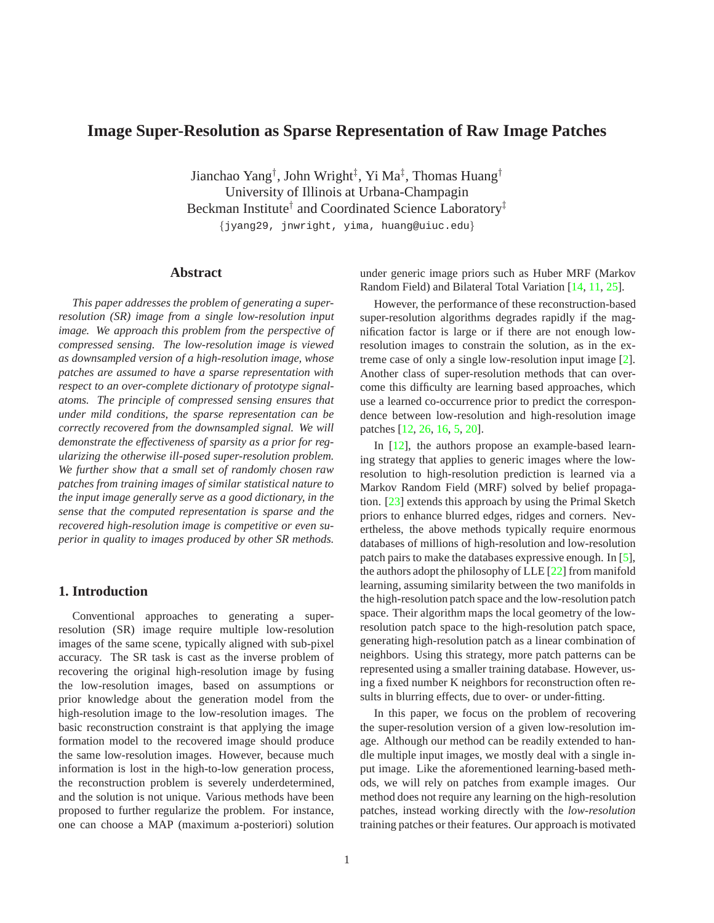# <span id="page-0-0"></span>**Image Super-Resolution as Sparse Representation of Raw Image Patches**

Jianchao Yang<sup>†</sup>, John Wright<sup>‡</sup>, Yi Ma<sup>‡</sup>, Thomas Huang<sup>†</sup> University of Illinois at Urbana-Champagin Beckman Institute† and Coordinated Science Laboratory‡ {jyang29, jnwright, yima, huang@uiuc.edu}

#### **Abstract**

*This paper addresses the problem of generating a superresolution (SR) image from a single low-resolution input image. We approach this problem from the perspective of compressed sensing. The low-resolution image is viewed as downsampled version of a high-resolution image, whose patches are assumed to have a sparse representation with respect to an over-complete dictionary of prototype signalatoms. The principle of compressed sensing ensures that under mild conditions, the sparse representation can be correctly recovered from the downsampled signal. We will demonstrate the effectiveness of sparsity as a prior for regularizing the otherwise ill-posed super-resolution problem. We further show that a small set of randomly chosen raw patches from training images of similar statistical nature to the input image generally serve as a good dictionary, in the sense that the computed representation is sparse and the recovered high-resolution image is competitive or even superior in quality to images produced by other SR methods.*

#### **1. Introduction**

Conventional approaches to generating a superresolution (SR) image require multiple low-resolution images of the same scene, typically aligned with sub-pixel accuracy. The SR task is cast as the inverse problem of recovering the original high-resolution image by fusing the low-resolution images, based on assumptions or prior knowledge about the generation model from the high-resolution image to the low-resolution images. The basic reconstruction constraint is that applying the image formation model to the recovered image should produce the same low-resolution images. However, because much information is lost in the high-to-low generation process, the reconstruction problem is severely underdetermined, and the solution is not unique. Various methods have been proposed to further regularize the problem. For instance, one can choose a MAP (maximum a-posteriori) solution

under generic image priors such as Huber MRF (Markov Random Field) and Bilateral Total Variation [\[14,](#page-7-0) [11,](#page-7-1) [25\]](#page-7-2).

However, the performance of these reconstruction-based super-resolution algorithms degrades rapidly if the magnification factor is large or if there are not enough lowresolution images to constrain the solution, as in the extreme case of only a single low-resolution input image [\[2\]](#page-7-3). Another class of super-resolution methods that can overcome this difficulty are learning based approaches, which use a learned co-occurrence prior to predict the correspondence between low-resolution and high-resolution image patches [\[12,](#page-7-4) [26,](#page-7-5) [16,](#page-7-6) [5,](#page-7-7) [20\]](#page-7-8).

In [\[12\]](#page-7-4), the authors propose an example-based learning strategy that applies to generic images where the lowresolution to high-resolution prediction is learned via a Markov Random Field (MRF) solved by belief propagation. [\[23\]](#page-7-9) extends this approach by using the Primal Sketch priors to enhance blurred edges, ridges and corners. Nevertheless, the above methods typically require enormous databases of millions of high-resolution and low-resolution patch pairs to make the databases expressive enough. In [\[5\]](#page-7-7), the authors adopt the philosophy of LLE [\[22\]](#page-7-10) from manifold learning, assuming similarity between the two manifolds in the high-resolution patch space and the low-resolution patch space. Their algorithm maps the local geometry of the lowresolution patch space to the high-resolution patch space, generating high-resolution patch as a linear combination of neighbors. Using this strategy, more patch patterns can be represented using a smaller training database. However, using a fixed number K neighbors for reconstruction often results in blurring effects, due to over- or under-fitting.

In this paper, we focus on the problem of recovering the super-resolution version of a given low-resolution image. Although our method can be readily extended to handle multiple input images, we mostly deal with a single input image. Like the aforementioned learning-based methods, we will rely on patches from example images. Our method does not require any learning on the high-resolution patches, instead working directly with the *low-resolution* training patches or their features. Our approach is motivated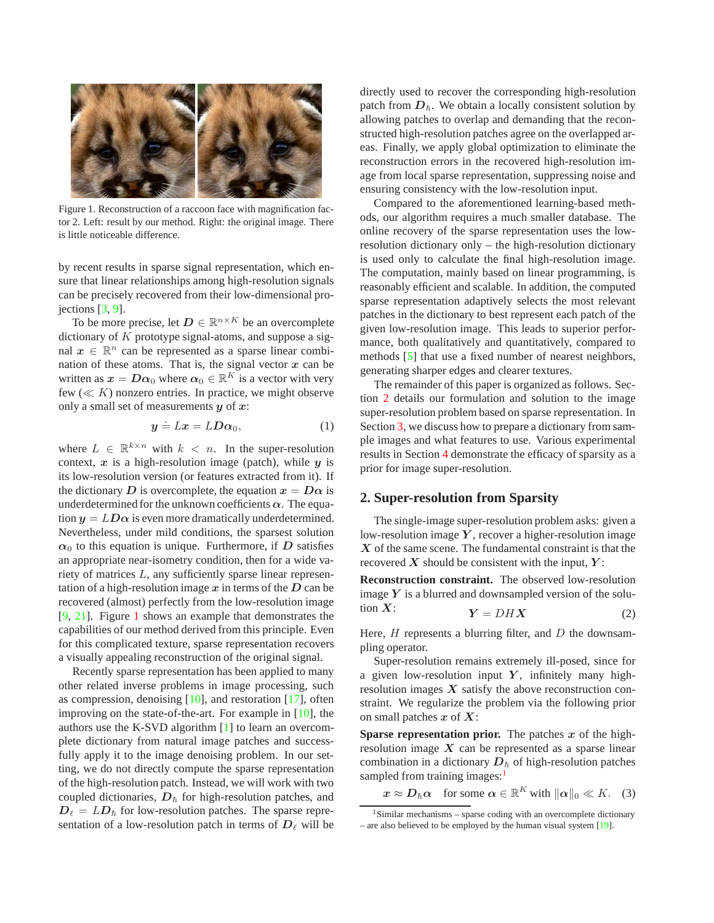<span id="page-1-5"></span>

<span id="page-1-0"></span>Figure 1. Reconstruction of a raccoon face with magnification factor 2. Left: result by our method. Right: the original image. There is little noticeable difference.

by recent results in sparse signal representation, which ensure that linear relationships among high-resolution signals can be precisely recovered from their low-dimensional projections [\[3,](#page-7-11) [9\]](#page-7-12).

To be more precise, let  $\mathbf{D} \in \mathbb{R}^{n \times K}$  be an overcomplete dictionary of  $K$  prototype signal-atoms, and suppose a signal  $x \in \mathbb{R}^n$  can be represented as a sparse linear combination of these atoms. That is, the signal vector  $x$  can be written as  $x = D\alpha_0$  where  $\alpha_0 \in \mathbb{R}^K$  is a vector with very few  $(\ll K)$  nonzero entries. In practice, we might observe only a small set of measurements  $y$  of  $x$ :

$$
y \doteq Lx = LD\alpha_0,\tag{1}
$$

where  $L \in \mathbb{R}^{k \times n}$  with  $k < n$ . In the super-resolution context,  $x$  is a high-resolution image (patch), while  $y$  is its low-resolution version (or features extracted from it). If the dictionary D is overcomplete, the equation  $x = D\alpha$  is underdetermined for the unknown coefficients  $\alpha$ . The equation  $y = L\mathbf{D}\alpha$  is even more dramatically underdetermined. Nevertheless, under mild conditions, the sparsest solution  $\alpha_0$  to this equation is unique. Furthermore, if D satisfies an appropriate near-isometry condition, then for a wide variety of matrices L, any sufficiently sparse linear representation of a high-resolution image  $x$  in terms of the  $D$  can be recovered (almost) perfectly from the low-resolution image [\[9,](#page-7-12) [21\]](#page-7-13). Figure [1](#page-1-0) shows an example that demonstrates the capabilities of our method derived from this principle. Even for this complicated texture, sparse representation recovers a visually appealing reconstruction of the original signal.

Recently sparse representation has been applied to many other related inverse problems in image processing, such as compression, denoising  $[10]$ , and restoration  $[17]$ , often improving on the state-of-the-art. For example in [\[10\]](#page-7-14), the authors use the K-SVD algorithm [\[1\]](#page-7-16) to learn an overcomplete dictionary from natural image patches and successfully apply it to the image denoising problem. In our setting, we do not directly compute the sparse representation of the high-resolution patch. Instead, we will work with two coupled dictionaries,  $D_{\hbar}$  for high-resolution patches, and  $D_{\ell} = LD_{\hbar}$  for low-resolution patches. The sparse representation of a low-resolution patch in terms of  $D_{\ell}$  will be

directly used to recover the corresponding high-resolution patch from  $D_{\hbar}$ . We obtain a locally consistent solution by allowing patches to overlap and demanding that the reconstructed high-resolution patches agree on the overlapped areas. Finally, we apply global optimization to eliminate the reconstruction errors in the recovered high-resolution image from local sparse representation, suppressing noise and ensuring consistency with the low-resolution input.

Compared to the aforementioned learning-based methods, our algorithm requires a much smaller database. The online recovery of the sparse representation uses the lowresolution dictionary only – the high-resolution dictionary is used only to calculate the final high-resolution image. The computation, mainly based on linear programming, is reasonably efficient and scalable. In addition, the computed sparse representation adaptively selects the most relevant patches in the dictionary to best represent each patch of the given low-resolution image. This leads to superior performance, both qualitatively and quantitatively, compared to methods [\[5\]](#page-7-7) that use a fixed number of nearest neighbors, generating sharper edges and clearer textures.

The remainder of this paper is organized as follows. Section [2](#page-1-1) details our formulation and solution to the image super-resolution problem based on sparse representation. In Section [3,](#page-3-0) we discuss how to prepare a dictionary from sample images and what features to use. Various experimental results in Section [4](#page-4-0) demonstrate the efficacy of sparsity as a prior for image super-resolution.

#### <span id="page-1-1"></span>**2. Super-resolution from Sparsity**

The single-image super-resolution problem asks: given a low-resolution image  $Y$ , recover a higher-resolution image  $X$  of the same scene. The fundamental constraint is that the recovered  $X$  should be consistent with the input,  $Y$ :

**Reconstruction constraint.** The observed low-resolution image  $Y$  is a blurred and downsampled version of the solution X:  $Y = DHX$  (2)

$$
Y = DHX \tag{2}
$$

<span id="page-1-4"></span>Here,  $H$  represents a blurring filter, and  $D$  the downsampling operator.

Super-resolution remains extremely ill-posed, since for a given low-resolution input  $Y$ , infinitely many highresolution images  $X$  satisfy the above reconstruction constraint. We regularize the problem via the following prior on small patches  $x$  of  $X$ :

**Sparse representation prior.** The patches  $x$  of the highresolution image  $X$  can be represented as a sparse linear combination in a dictionary  $D_{\hbar}$  of high-resolution patches sampled from training images:<sup>[1](#page-1-2)</sup>

 $\boldsymbol{x} \approx \boldsymbol{D}_{\hbar} \boldsymbol{\alpha}$  for some  $\boldsymbol{\alpha} \in \mathbb{R}^K$  with  $\|\boldsymbol{\alpha}\|_0 \ll K$ . (3)

<span id="page-1-3"></span><span id="page-1-2"></span> $1$ Similar mechanisms – sparse coding with an overcomplete dictionary – are also believed to be employed by the human visual system [\[19\]](#page-7-17).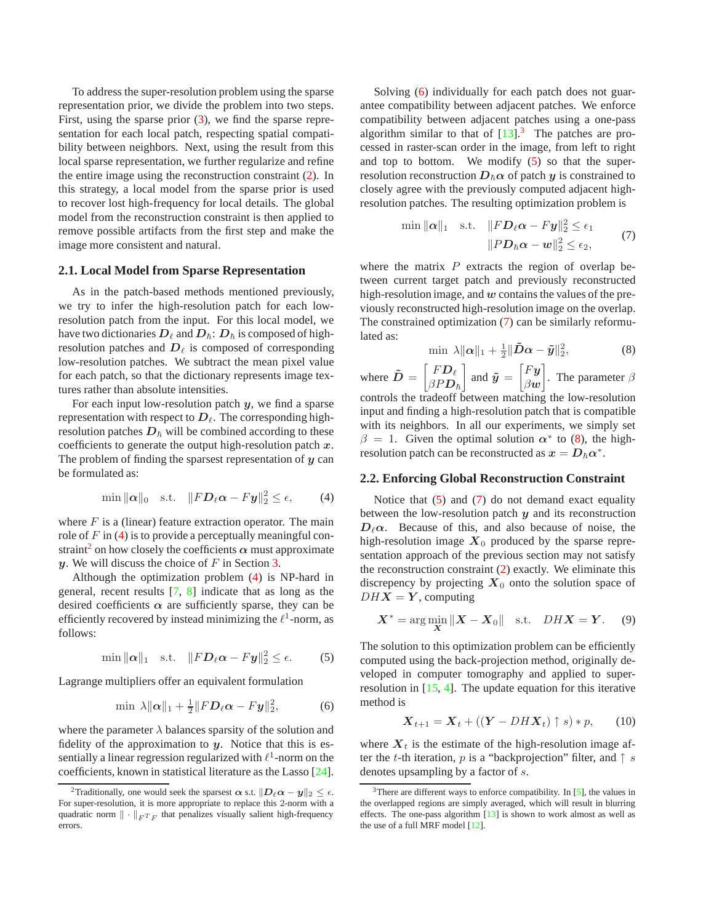<span id="page-2-7"></span>To address the super-resolution problem using the sparse representation prior, we divide the problem into two steps. First, using the sparse prior  $(3)$ , we find the sparse representation for each local patch, respecting spatial compatibility between neighbors. Next, using the result from this local sparse representation, we further regularize and refine the entire image using the reconstruction constraint [\(2\)](#page-1-4). In this strategy, a local model from the sparse prior is used to recover lost high-frequency for local details. The global model from the reconstruction constraint is then applied to remove possible artifacts from the first step and make the image more consistent and natural.

#### **2.1. Local Model from Sparse Representation**

As in the patch-based methods mentioned previously, we try to infer the high-resolution patch for each lowresolution patch from the input. For this local model, we have two dictionaries  $D_{\ell}$  and  $D_{\hbar}$ :  $D_{\hbar}$  is composed of highresolution patches and  $D_{\ell}$  is composed of corresponding low-resolution patches. We subtract the mean pixel value for each patch, so that the dictionary represents image textures rather than absolute intensities.

For each input low-resolution patch  $y$ , we find a sparse representation with respect to  $D_{\ell}$ . The corresponding highresolution patches  $D_{\hbar}$  will be combined according to these coefficients to generate the output high-resolution patch  $x$ . The problem of finding the sparsest representation of  $y$  can be formulated as:

$$
\min \|\boldsymbol{\alpha}\|_0 \quad \text{s.t.} \quad \|F\boldsymbol{D}_\ell \boldsymbol{\alpha} - F\boldsymbol{y}\|_2^2 \le \epsilon, \tag{4}
$$

<span id="page-2-0"></span>where  $F$  is a (linear) feature extraction operator. The main role of  $F$  in [\(4\)](#page-2-0) is to provide a perceptually meaningful con-straint<sup>[2](#page-2-1)</sup> on how closely the coefficients  $\alpha$  must approximate  $y$ . We will discuss the choice of  $F$  in Section [3.](#page-3-0)

Although the optimization problem [\(4\)](#page-2-0) is NP-hard in general, recent results [\[7,](#page-7-18) [8\]](#page-7-19) indicate that as long as the desired coefficients  $\alpha$  are sufficiently sparse, they can be efficiently recovered by instead minimizing the  $\ell^1$ -norm, as follows:

$$
\min \|\boldsymbol{\alpha}\|_1 \quad \text{s.t.} \quad \|F\boldsymbol{D}_{\ell}\boldsymbol{\alpha} - F\boldsymbol{y}\|_2^2 \le \epsilon. \tag{5}
$$

<span id="page-2-4"></span><span id="page-2-2"></span>Lagrange multipliers offer an equivalent formulation

$$
\min \lambda \|\boldsymbol{\alpha}\|_1 + \frac{1}{2} \|FD_\ell \boldsymbol{\alpha} - F\boldsymbol{y}\|_2^2, \tag{6}
$$

where the parameter  $\lambda$  balances sparsity of the solution and fidelity of the approximation to  $y$ . Notice that this is essentially a linear regression regularized with  $\ell^1$ -norm on the coefficients, known in statistical literature as the Lasso [\[24\]](#page-7-20).

Solving [\(6\)](#page-2-2) individually for each patch does not guarantee compatibility between adjacent patches. We enforce compatibility between adjacent patches using a one-pass algorithm similar to that of  $[13]$ .<sup>[3](#page-2-3)</sup> The patches are processed in raster-scan order in the image, from left to right and top to bottom. We modify  $(5)$  so that the superresolution reconstruction  $D_{\hbar} \alpha$  of patch y is constrained to closely agree with the previously computed adjacent highresolution patches. The resulting optimization problem is

$$
\min \|\boldsymbol{\alpha}\|_1 \quad \text{s.t.} \quad \|FD_{\ell}\boldsymbol{\alpha} - F\boldsymbol{y}\|_2^2 \le \epsilon_1
$$
\n
$$
\|PD_{\hbar}\boldsymbol{\alpha} - \boldsymbol{w}\|_2^2 \le \epsilon_2,\tag{7}
$$

<span id="page-2-5"></span>where the matrix  $P$  extracts the region of overlap between current target patch and previously reconstructed high-resolution image, and  $w$  contains the values of the previously reconstructed high-resolution image on the overlap. The constrained optimization [\(7\)](#page-2-5) can be similarly reformulated as:

$$
\min \ \lambda \|\boldsymbol{\alpha}\|_1 + \tfrac{1}{2} \|\tilde{\boldsymbol{D}}\boldsymbol{\alpha} - \tilde{\boldsymbol{y}}\|_2^2,\tag{8}
$$

<span id="page-2-6"></span>where  $\tilde{D} = \begin{bmatrix} FD_{\ell} \\ 2DD \end{bmatrix}$  $\beta P\bm{D}_\hbar$ and  $\tilde{y} = \begin{bmatrix} Fy \\ g_{\alpha\beta} \end{bmatrix}$  $\beta\bm{w}$ . The parameter  $\beta$ controls the tradeoff between matching the low-resolution

input and finding a high-resolution patch that is compatible with its neighbors. In all our experiments, we simply set  $\beta = 1$ . Given the optimal solution  $\alpha^*$  to [\(8\)](#page-2-6), the highresolution patch can be reconstructed as  $x = D_{\hbar} \alpha^*$ .

### **2.2. Enforcing Global Reconstruction Constraint**

Notice that  $(5)$  and  $(7)$  do not demand exact equality between the low-resolution patch  $y$  and its reconstruction  $D_{\ell}\alpha$ . Because of this, and also because of noise, the high-resolution image  $X_0$  produced by the sparse representation approach of the previous section may not satisfy the reconstruction constraint  $(2)$  exactly. We eliminate this discrepency by projecting  $X_0$  onto the solution space of  $DHX = Y$ , computing

$$
\mathbf{X}^* = \arg\min_{\mathbf{X}} \|\mathbf{X} - \mathbf{X}_0\| \quad \text{s.t.} \quad DH\mathbf{X} = \mathbf{Y}. \tag{9}
$$

The solution to this optimization problem can be efficiently computed using the back-projection method, originally developed in computer tomography and applied to superresolution in [\[15,](#page-7-22) [4\]](#page-7-23). The update equation for this iterative method is

$$
\mathbf{X}_{t+1} = \mathbf{X}_t + ((\mathbf{Y} - DH\mathbf{X}_t) \uparrow s) * p, \qquad (10)
$$

where  $X_t$  is the estimate of the high-resolution image after the t-th iteration, p is a "backprojection" filter, and  $\uparrow$  s denotes upsampling by a factor of s.

<span id="page-2-1"></span><sup>&</sup>lt;sup>2</sup>Traditionally, one would seek the sparsest  $\alpha$  s.t.  $\|\mathbf{D}_{\ell}\alpha - \mathbf{y}\|_2 \leq \epsilon$ . For super-resolution, it is more appropriate to replace this 2-norm with a quadratic norm  $\|\cdot\|_{F^TF}$  that penalizes visually salient high-frequency errors.

<span id="page-2-3"></span><sup>3</sup>There are different ways to enforce compatibility. In [\[5\]](#page-7-7), the values in the overlapped regions are simply averaged, which will result in blurring effects. The one-pass algorithm [\[13\]](#page-7-21) is shown to work almost as well as the use of a full MRF model [\[12\]](#page-7-4).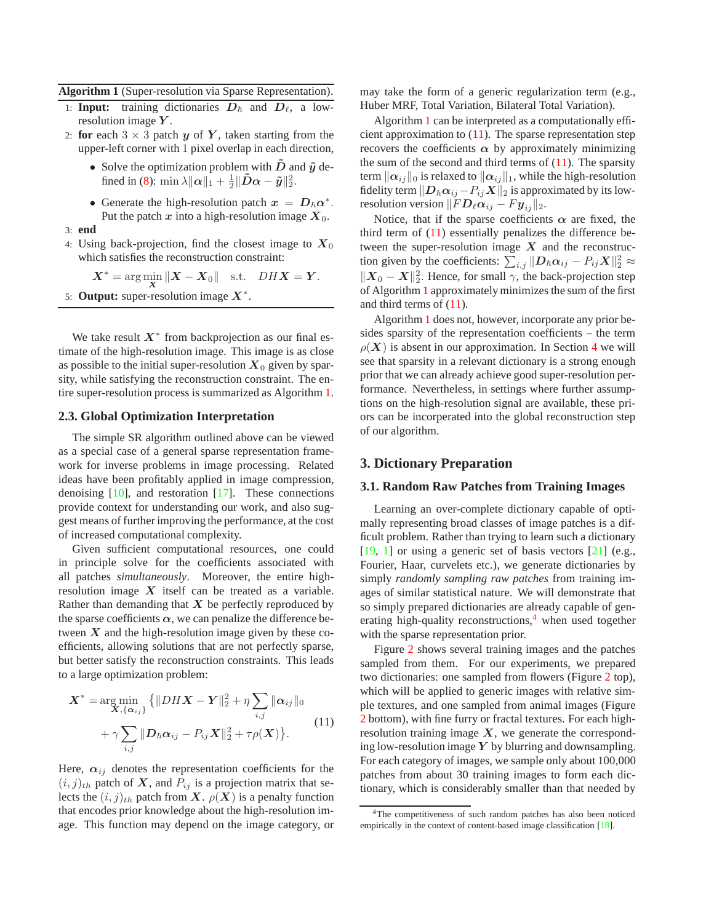<span id="page-3-4"></span>**Algorithm 1** (Super-resolution via Sparse Representation).

- 1: **Input:** training dictionaries  $D_h$  and  $D_\ell$ , a lowresolution image  $Y$ .
- 2: **for** each  $3 \times 3$  patch y of Y, taken starting from the upper-left corner with 1 pixel overlap in each direction,
	- Solve the optimization problem with  $\tilde{D}$  and  $\tilde{y}$  de-fined in [\(8\)](#page-2-6): min  $\lambda ||\alpha||_1 + \frac{1}{2} ||\tilde{D}\alpha - \tilde{y}||_2^2$ .
	- Generate the high-resolution patch  $x = D_{\hbar} \alpha^*$ . Put the patch  $x$  into a high-resolution image  $X_0$ .
- 3: **end**
- 4: Using back-projection, find the closest image to  $X_0$ which satisfies the reconstruction constraint:

 $\boldsymbol{X}^* = \arg\min_{\boldsymbol{X}} \|\boldsymbol{X} - \boldsymbol{X}_0\| \quad \text{s.t.} \quad DH\boldsymbol{X} = \boldsymbol{Y}.$ 

<span id="page-3-1"></span>5: **Output:** super-resolution image  $X^*$ .

We take result  $X^*$  from backprojection as our final estimate of the high-resolution image. This image is as close as possible to the initial super-resolution  $X_0$  given by sparsity, while satisfying the reconstruction constraint. The entire super-resolution process is summarized as Algorithm [1.](#page-3-1)

#### **2.3. Global Optimization Interpretation**

The simple SR algorithm outlined above can be viewed as a special case of a general sparse representation framework for inverse problems in image processing. Related ideas have been profitably applied in image compression, denoising  $[10]$ , and restoration  $[17]$ . These connections provide context for understanding our work, and also suggest means of further improving the performance, at the cost of increased computational complexity.

Given sufficient computational resources, one could in principle solve for the coefficients associated with all patches *simultaneously*. Moreover, the entire highresolution image  $X$  itself can be treated as a variable. Rather than demanding that  $X$  be perfectly reproduced by the sparse coefficients  $\alpha$ , we can penalize the difference between  $X$  and the high-resolution image given by these coefficients, allowing solutions that are not perfectly sparse, but better satisfy the reconstruction constraints. This leads to a large optimization problem:

$$
\mathbf{X}^* = \arg\min_{\mathbf{X}, \{\alpha_{ij}\}} \left\{ ||DH\mathbf{X} - \mathbf{Y}||_2^2 + \eta \sum_{i,j} ||\alpha_{ij}||_0 \right. \\ \left. + \gamma \sum_{i,j} ||D_h \alpha_{ij} - P_{ij} \mathbf{X}||_2^2 + \tau \rho(\mathbf{X}) \right\}.
$$
 (11)

<span id="page-3-2"></span>Here,  $\alpha_{ij}$  denotes the representation coefficients for the  $(i, j)$ <sub>th</sub> patch of X, and  $P_{ij}$  is a projection matrix that selects the  $(i, j)$ <sub>th</sub> patch from **X**.  $\rho$ (**X**) is a penalty function that encodes prior knowledge about the high-resolution image. This function may depend on the image category, or may take the form of a generic regularization term (e.g., Huber MRF, Total Variation, Bilateral Total Variation).

Algorithm [1](#page-3-1) can be interpreted as a computationally efficient approximation to  $(11)$ . The sparse representation step recovers the coefficients  $\alpha$  by approximately minimizing the sum of the second and third terms of  $(11)$ . The sparsity term  $\|\alpha_{ij}\|_0$  is relaxed to  $\|\alpha_{ij}\|_1$ , while the high-resolution fidelity term  $||D_h\alpha_{ij} - P_{ij}X||_2$  is approximated by its lowresolution version  $||FD_{\ell}\alpha_{ij} - F\boldsymbol{y}_{ij}||_2$ .

Notice, that if the sparse coefficients  $\alpha$  are fixed, the third term of [\(11\)](#page-3-2) essentially penalizes the difference between the super-resolution image  $X$  and the reconstruction given by the coefficients:  $\sum_{i,j} \|D_h \alpha_{ij} - P_{ij} X\|_2^2 \approx$  $||X_0 - X||_2^2$ . Hence, for small  $\gamma$ , the back-projection step of Algorithm [1](#page-3-1) approximately minimizes the sum of the first and third terms of [\(11\)](#page-3-2).

Algorithm [1](#page-3-1) does not, however, incorporate any prior besides sparsity of the representation coefficients – the term  $\rho(X)$  is absent in our approximation. In Section [4](#page-4-0) we will see that sparsity in a relevant dictionary is a strong enough prior that we can already achieve good super-resolution performance. Nevertheless, in settings where further assumptions on the high-resolution signal are available, these priors can be incorperated into the global reconstruction step of our algorithm.

#### <span id="page-3-0"></span>**3. Dictionary Preparation**

#### **3.1. Random Raw Patches from Training Images**

Learning an over-complete dictionary capable of optimally representing broad classes of image patches is a difficult problem. Rather than trying to learn such a dictionary [\[19,](#page-7-17) [1\]](#page-7-16) or using a generic set of basis vectors [\[21\]](#page-7-13) (e.g., Fourier, Haar, curvelets etc.), we generate dictionaries by simply *randomly sampling raw patches* from training images of similar statistical nature. We will demonstrate that so simply prepared dictionaries are already capable of generating high-quality reconstructions, $4$  when used together with the sparse representation prior.

Figure [2](#page-4-1) shows several training images and the patches sampled from them. For our experiments, we prepared two dictionaries: one sampled from flowers (Figure [2](#page-4-1) top), which will be applied to generic images with relative simple textures, and one sampled from animal images (Figure [2](#page-4-1) bottom), with fine furry or fractal textures. For each highresolution training image  $X$ , we generate the corresponding low-resolution image  $Y$  by blurring and downsampling. For each category of images, we sample only about 100,000 patches from about 30 training images to form each dictionary, which is considerably smaller than that needed by

<span id="page-3-3"></span><sup>4</sup>The competitiveness of such random patches has also been noticed empirically in the context of content-based image classification [\[18\]](#page-7-24).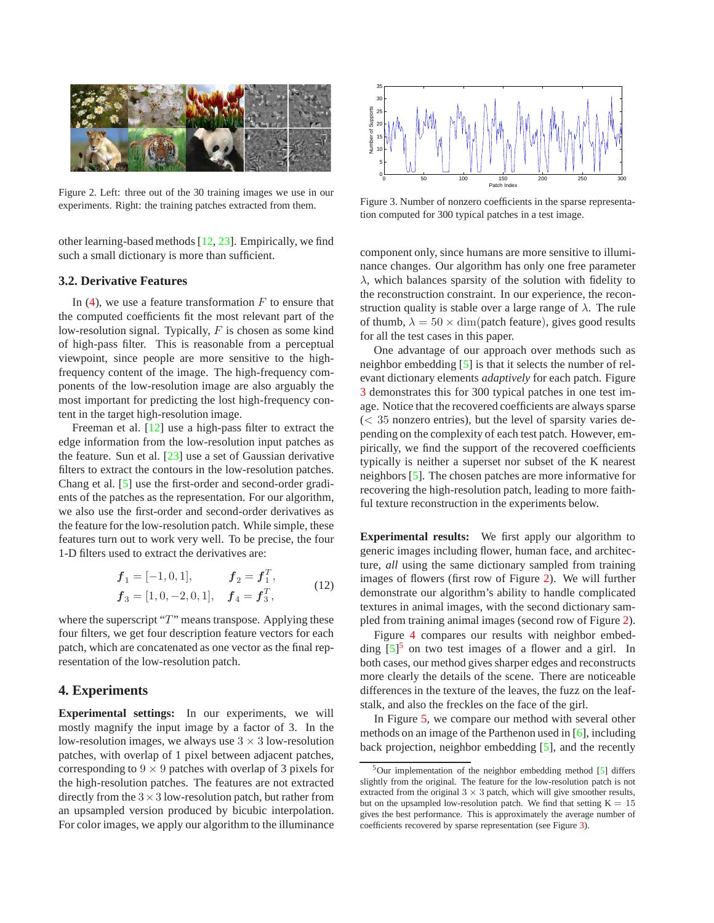<span id="page-4-4"></span>

Figure 2. Left: three out of the 30 training images we use in our experiments. Right: the training patches extracted from them.

<span id="page-4-1"></span>other learning-based methods [\[12,](#page-7-4) [23\]](#page-7-9). Empirically, we find such a small dictionary is more than sufficient.

#### **3.2. Derivative Features**

In  $(4)$ , we use a feature transformation F to ensure that the computed coefficients fit the most relevant part of the low-resolution signal. Typically, F is chosen as some kind of high-pass filter. This is reasonable from a perceptual viewpoint, since people are more sensitive to the highfrequency content of the image. The high-frequency components of the low-resolution image are also arguably the most important for predicting the lost high-frequency content in the target high-resolution image.

Freeman et al. [\[12\]](#page-7-4) use a high-pass filter to extract the edge information from the low-resolution input patches as the feature. Sun et al.  $[23]$  use a set of Gaussian derivative filters to extract the contours in the low-resolution patches. Chang et al. [\[5\]](#page-7-7) use the first-order and second-order gradients of the patches as the representation. For our algorithm, we also use the first-order and second-order derivatives as the feature for the low-resolution patch. While simple, these features turn out to work very well. To be precise, the four 1-D filters used to extract the derivatives are:

$$
\begin{aligned}\n\mathbf{f}_1 &= [-1, 0, 1], & \mathbf{f}_2 &= \mathbf{f}_1^T, \\
\mathbf{f}_3 &= [1, 0, -2, 0, 1], & \mathbf{f}_4 &= \mathbf{f}_3^T,\n\end{aligned}\n\tag{12}
$$

where the superscript " $T$ " means transpose. Applying these four filters, we get four description feature vectors for each patch, which are concatenated as one vector as the final representation of the low-resolution patch.

#### <span id="page-4-0"></span>**4. Experiments**

**Experimental settings:** In our experiments, we will mostly magnify the input image by a factor of 3. In the low-resolution images, we always use  $3 \times 3$  low-resolution patches, with overlap of 1 pixel between adjacent patches, corresponding to  $9 \times 9$  patches with overlap of 3 pixels for the high-resolution patches. The features are not extracted directly from the  $3 \times 3$  low-resolution patch, but rather from an upsampled version produced by bicubic interpolation. For color images, we apply our algorithm to the illuminance



<span id="page-4-2"></span>Figure 3. Number of nonzero coefficients in the sparse representation computed for 300 typical patches in a test image.

component only, since humans are more sensitive to illuminance changes. Our algorithm has only one free parameter  $\lambda$ , which balances sparsity of the solution with fidelity to the reconstruction constraint. In our experience, the reconstruction quality is stable over a large range of  $\lambda$ . The rule of thumb,  $\lambda = 50 \times \dim(\text{patch feature})$ , gives good results for all the test cases in this paper.

One advantage of our approach over methods such as neighbor embedding [\[5\]](#page-7-7) is that it selects the number of relevant dictionary elements *adaptively* for each patch. Figure [3](#page-4-2) demonstrates this for 300 typical patches in one test image. Notice that the recovered coefficients are always sparse  $(< 35$  nonzero entries), but the level of sparsity varies depending on the complexity of each test patch. However, empirically, we find the support of the recovered coefficients typically is neither a superset nor subset of the K nearest neighbors [\[5\]](#page-7-7). The chosen patches are more informative for recovering the high-resolution patch, leading to more faithful texture reconstruction in the experiments below.

**Experimental results:** We first apply our algorithm to generic images including flower, human face, and architecture, *all* using the same dictionary sampled from training images of flowers (first row of Figure [2\)](#page-4-1). We will further demonstrate our algorithm's ability to handle complicated textures in animal images, with the second dictionary sampled from training animal images (second row of Figure [2\)](#page-4-1).

Figure [4](#page-5-0) compares our results with neighbor embedding  $[5]$  $[5]$  $[5]$ <sup>5</sup> on two test images of a flower and a girl. In both cases, our method gives sharper edges and reconstructs more clearly the details of the scene. There are noticeable differences in the texture of the leaves, the fuzz on the leafstalk, and also the freckles on the face of the girl.

In Figure [5,](#page-5-1) we compare our method with several other methods on an image of the Parthenon used in [\[6\]](#page-7-25), including back projection, neighbor embedding [\[5\]](#page-7-7), and the recently

<span id="page-4-3"></span> $5$ Our implementation of the neighbor embedding method [\[5\]](#page-7-7) differs slightly from the original. The feature for the low-resolution patch is not extracted from the original  $3 \times 3$  patch, which will give smoother results, but on the upsampled low-resolution patch. We find that setting  $K = 15$ gives the best performance. This is approximately the average number of coefficients recovered by sparse representation (see Figure [3\)](#page-4-2).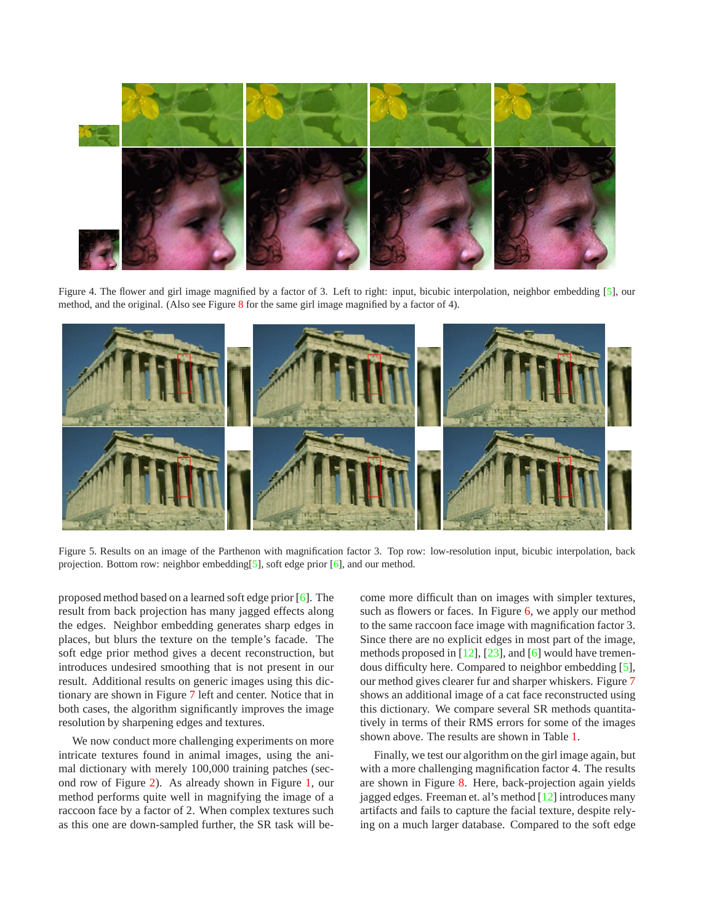<span id="page-5-2"></span>

Figure 4. The flower and girl image magnified by a factor of 3. Left to right: input, bicubic interpolation, neighbor embedding [\[5\]](#page-7-7), our method, and the original. (Also see Figure [8](#page-6-0) for the same girl image magnified by a factor of 4).

<span id="page-5-0"></span>

<span id="page-5-1"></span>Figure 5. Results on an image of the Parthenon with magnification factor 3. Top row: low-resolution input, bicubic interpolation, back projection. Bottom row: neighbor embedding[\[5\]](#page-7-7), soft edge prior [\[6\]](#page-7-25), and our method.

proposed method based on a learned soft edge prior [\[6\]](#page-7-25). The result from back projection has many jagged effects along the edges. Neighbor embedding generates sharp edges in places, but blurs the texture on the temple's facade. The soft edge prior method gives a decent reconstruction, but introduces undesired smoothing that is not present in our result. Additional results on generic images using this dictionary are shown in Figure [7](#page-6-1) left and center. Notice that in both cases, the algorithm significantly improves the image resolution by sharpening edges and textures.

We now conduct more challenging experiments on more intricate textures found in animal images, using the animal dictionary with merely 100,000 training patches (second row of Figure [2\)](#page-4-1). As already shown in Figure [1,](#page-1-0) our method performs quite well in magnifying the image of a raccoon face by a factor of 2. When complex textures such as this one are down-sampled further, the SR task will become more difficult than on images with simpler textures, such as flowers or faces. In Figure [6,](#page-6-2) we apply our method to the same raccoon face image with magnification factor 3. Since there are no explicit edges in most part of the image, methods proposed in [\[12\]](#page-7-4), [\[23\]](#page-7-9), and [\[6\]](#page-7-25) would have tremendous difficulty here. Compared to neighbor embedding [\[5\]](#page-7-7), our method gives clearer fur and sharper whiskers. Figure [7](#page-6-1) shows an additional image of a cat face reconstructed using this dictionary. We compare several SR methods quantitatively in terms of their RMS errors for some of the images shown above. The results are shown in Table [1.](#page-7-26)

Finally, we test our algorithm on the girl image again, but with a more challenging magnification factor 4. The results are shown in Figure [8.](#page-6-0) Here, back-projection again yields jagged edges. Freeman et. al's method [\[12\]](#page-7-4) introduces many artifacts and fails to capture the facial texture, despite relying on a much larger database. Compared to the soft edge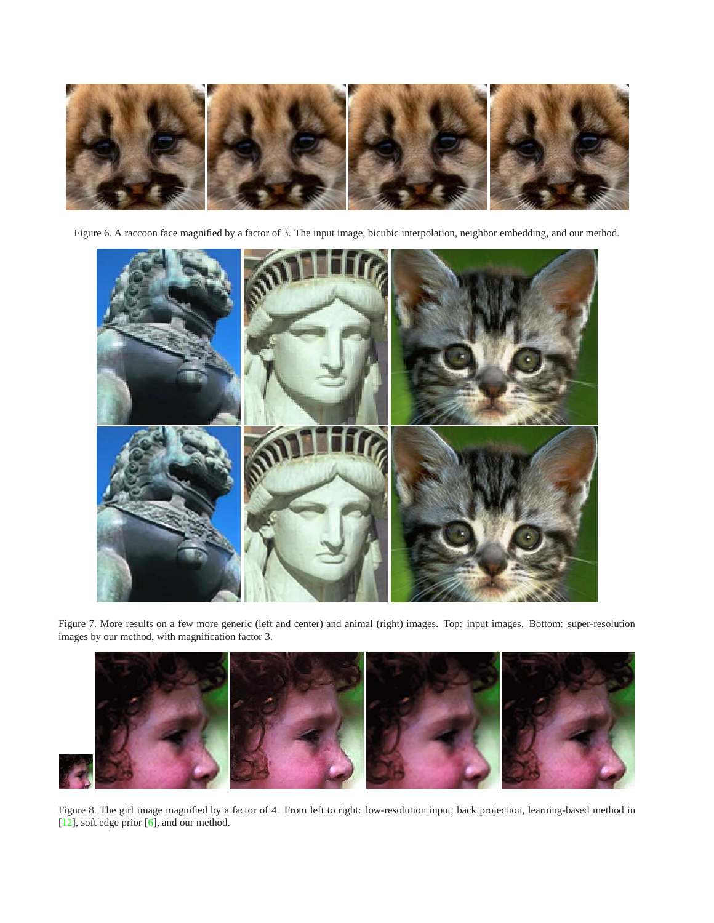<span id="page-6-3"></span>

Figure 6. A raccoon face magnified by a factor of 3. The input image, bicubic interpolation, neighbor embedding, and our method.

<span id="page-6-2"></span>

Figure 7. More results on a few more generic (left and center) and animal (right) images. Top: input images. Bottom: super-resolution images by our method, with magnification factor 3.

<span id="page-6-1"></span><span id="page-6-0"></span>

Figure 8. The girl image magnified by a factor of 4. From left to right: low-resolution input, back projection, learning-based method in [\[12\]](#page-7-4), soft edge prior [\[6\]](#page-7-25), and our method.